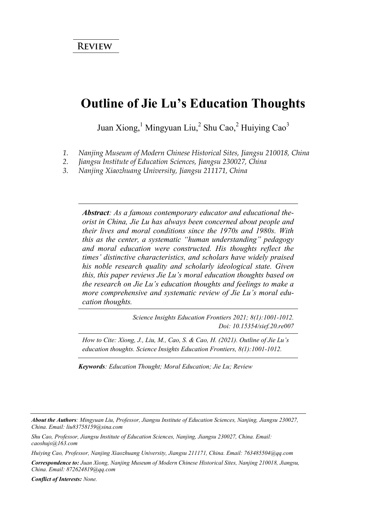#### **Outline of Jie Lu's Education Thoughts**

Juan Xiong,<sup>1</sup> Mingyuan Liu,<sup>2</sup> Shu Cao,<sup>2</sup> Huiying Cao<sup>3</sup>

- *1. Nanjing Museum of Modern Chinese Historical Sites, Jiangsu 210018, China*
- *2. Jiangsu Institute of Education Sciences, Jiangsu 230027, China*
- *3. Nanjing Xiaozhuang University, Jiangsu 211171, China*

*Abstract: As a famous contemporary educator and educational theorist in China, Jie Lu has always been concerned about people and their lives and moral conditions since the 1970s and 1980s. With this as the center, a systematic "human understanding" pedagogy and moral education were constructed. His thoughts reflect the times' distinctive characteristics, and scholars have widely praised his noble research quality and scholarly ideological state. Given this, this paper reviews Jie Lu's moral education thoughts based on the research on Jie Lu's education thoughts and feelings to make a more comprehensive and systematic review of Jie Lu's moral education thoughts.*

> *Science Insights Education Frontiers 2021; 8(1):1001-1012. Doi: 10.15354/sief.20.re007*

*How to Cite: Xiong, J., Liu, M., Cao, S. & Cao, H. (2021). Outline of Jie Lu's education thoughts. Science Insights Education Frontiers, 8(1):1001-1012.*

*Keywords: Education Thought; Moral Education; Jie Lu; Review*

*Conflict of Interests: None.* 

*About the Authors: Mingyuan Liu, Professor, Jiangsu Institute of Education Sciences, Nanjing, Jiangsu 230027, China. Email: liu83758159@sina.com* 

*Shu Cao, Professor, Jiangsu Institute of Education Sciences, Nanjing, Jiangsu 230027, China. Email: caoshujs@163.com* 

*Huiying Cao, Professor, Nanjing Xiaozhuang University, Jiangsu 211171, China. Email: 763485504@qq.com* 

*Correspondence to: Juan Xiong, Nanjing Museum of Modern Chinese Historical Sites, Nanjing 210018, Jiangsu, China. Email: 872624819@qq.com*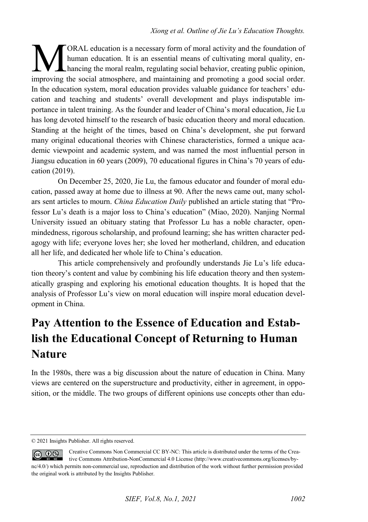ORAL education is a necessary form of moral activity and the foundation of human education. It is an essential means of cultivating moral quality, enhancing the moral realm, regulating social behavior, creating public opinion, **implementation** is a necessary form of moral activity and the foundation of human education. It is an essential means of cultivating moral quality, enhancing the moral realm, regulating social behavior, creating public op In the education system, moral education provides valuable guidance for teachers' education and teaching and students' overall development and plays indisputable importance in talent training. As the founder and leader of China's moral education, Jie Lu has long devoted himself to the research of basic education theory and moral education. Standing at the height of the times, based on China's development, she put forward many original educational theories with Chinese characteristics, formed a unique academic viewpoint and academic system, and was named the most influential person in Jiangsu education in 60 years (2009), 70 educational figures in China's 70 years of education (2019).

On December 25, 2020, Jie Lu, the famous educator and founder of moral education, passed away at home due to illness at 90. After the news came out, many scholars sent articles to mourn. *China Education Daily* published an article stating that "Professor Lu's death is a major loss to China's education" (Miao, 2020). Nanjing Normal University issued an obituary stating that Professor Lu has a noble character, openmindedness, rigorous scholarship, and profound learning; she has written character pedagogy with life; everyone loves her; she loved her motherland, children, and education all her life, and dedicated her whole life to China's education.

This article comprehensively and profoundly understands Jie Lu's life education theory's content and value by combining his life education theory and then systematically grasping and exploring his emotional education thoughts. It is hoped that the analysis of Professor Lu's view on moral education will inspire moral education development in China.

# **Pay Attention to the Essence of Education and Establish the Educational Concept of Returning to Human Nature**

In the 1980s, there was a big discussion about the nature of education in China. Many views are centered on the superstructure and productivity, either in agreement, in opposition, or the middle. The two groups of different opinions use concepts other than edu-

<sup>© 2021</sup> Insights Publisher. All rights reserved.

Creative Commons Non Commercial CC BY-NC: This article is distributed under the terms of the Crea- $\circledcirc$   $\circledcirc$ tive Commons Attribution-NonCommercial 4.0 License (http://www.creativecommons.org/licenses/bync/4.0/) which permits non-commercial use, reproduction and distribution of the work without further permission provided the original work is attributed by the Insights Publisher.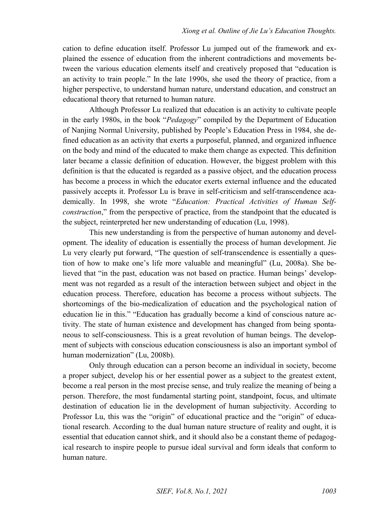cation to define education itself. Professor Lu jumped out of the framework and explained the essence of education from the inherent contradictions and movements between the various education elements itself and creatively proposed that "education is an activity to train people." In the late 1990s, she used the theory of practice, from a higher perspective, to understand human nature, understand education, and construct an educational theory that returned to human nature.

Although Professor Lu realized that education is an activity to cultivate people in the early 1980s, in the book "*Pedagogy*" compiled by the Department of Education of Nanjing Normal University, published by People's Education Press in 1984, she defined education as an activity that exerts a purposeful, planned, and organized influence on the body and mind of the educated to make them change as expected. This definition later became a classic definition of education. However, the biggest problem with this definition is that the educated is regarded as a passive object, and the education process has become a process in which the educator exerts external influence and the educated passively accepts it. Professor Lu is brave in self-criticism and self-transcendence academically. In 1998, she wrote "*Education: Practical Activities of Human Selfconstruction*," from the perspective of practice, from the standpoint that the educated is the subject, reinterpreted her new understanding of education (Lu, 1998).

This new understanding is from the perspective of human autonomy and development. The ideality of education is essentially the process of human development. Jie Lu very clearly put forward, "The question of self-transcendence is essentially a question of how to make one's life more valuable and meaningful" (Lu, 2008a). She believed that "in the past, education was not based on practice. Human beings' development was not regarded as a result of the interaction between subject and object in the education process. Therefore, education has become a process without subjects. The shortcomings of the bio-medicalization of education and the psychological nation of education lie in this." "Education has gradually become a kind of conscious nature activity. The state of human existence and development has changed from being spontaneous to self-consciousness. This is a great revolution of human beings. The development of subjects with conscious education consciousness is also an important symbol of human modernization" (Lu, 2008b).

Only through education can a person become an individual in society, become a proper subject, develop his or her essential power as a subject to the greatest extent, become a real person in the most precise sense, and truly realize the meaning of being a person. Therefore, the most fundamental starting point, standpoint, focus, and ultimate destination of education lie in the development of human subjectivity. According to Professor Lu, this was the "origin" of educational practice and the "origin" of educational research. According to the dual human nature structure of reality and ought, it is essential that education cannot shirk, and it should also be a constant theme of pedagogical research to inspire people to pursue ideal survival and form ideals that conform to human nature.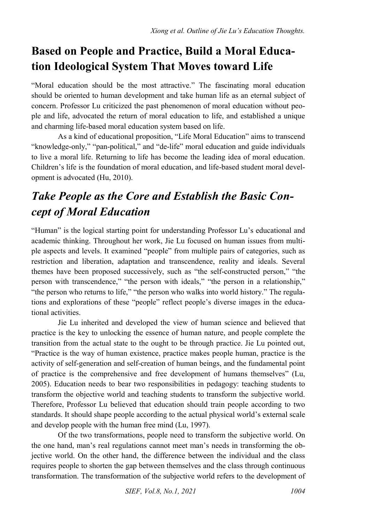## **Based on People and Practice, Build a Moral Education Ideological System That Moves toward Life**

"Moral education should be the most attractive." The fascinating moral education should be oriented to human development and take human life as an eternal subject of concern. Professor Lu criticized the past phenomenon of moral education without people and life, advocated the return of moral education to life, and established a unique and charming life-based moral education system based on life.

As a kind of educational proposition, "Life Moral Education" aims to transcend "knowledge-only," "pan-political," and "de-life" moral education and guide individuals to live a moral life. Returning to life has become the leading idea of moral education. Children's life is the foundation of moral education, and life-based student moral development is advocated (Hu, 2010).

# *Take People as the Core and Establish the Basic Concept of Moral Education*

"Human" is the logical starting point for understanding Professor Lu's educational and academic thinking. Throughout her work, Jie Lu focused on human issues from multiple aspects and levels. It examined "people" from multiple pairs of categories, such as restriction and liberation, adaptation and transcendence, reality and ideals. Several themes have been proposed successively, such as "the self-constructed person," "the person with transcendence," "the person with ideals," "the person in a relationship," "the person who returns to life," "the person who walks into world history." The regulations and explorations of these "people" reflect people's diverse images in the educational activities.

Jie Lu inherited and developed the view of human science and believed that practice is the key to unlocking the essence of human nature, and people complete the transition from the actual state to the ought to be through practice. Jie Lu pointed out, "Practice is the way of human existence, practice makes people human, practice is the activity of self-generation and self-creation of human beings, and the fundamental point of practice is the comprehensive and free development of humans themselves" (Lu, 2005). Education needs to bear two responsibilities in pedagogy: teaching students to transform the objective world and teaching students to transform the subjective world. Therefore, Professor Lu believed that education should train people according to two standards. It should shape people according to the actual physical world's external scale and develop people with the human free mind (Lu, 1997).

Of the two transformations, people need to transform the subjective world. On the one hand, man's real regulations cannot meet man's needs in transforming the objective world. On the other hand, the difference between the individual and the class requires people to shorten the gap between themselves and the class through continuous transformation. The transformation of the subjective world refers to the development of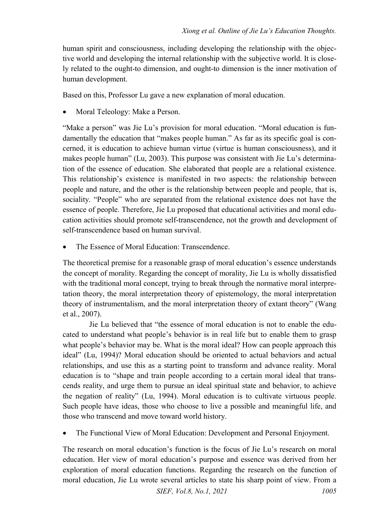human spirit and consciousness, including developing the relationship with the objective world and developing the internal relationship with the subjective world. It is closely related to the ought-to dimension, and ought-to dimension is the inner motivation of human development.

Based on this, Professor Lu gave a new explanation of moral education.

Moral Teleology: Make a Person.

"Make a person" was Jie Lu's provision for moral education. "Moral education is fundamentally the education that "makes people human." As far as its specific goal is concerned, it is education to achieve human virtue (virtue is human consciousness), and it makes people human" (Lu, 2003). This purpose was consistent with Jie Lu's determination of the essence of education. She elaborated that people are a relational existence. This relationship's existence is manifested in two aspects: the relationship between people and nature, and the other is the relationship between people and people, that is, sociality. "People" who are separated from the relational existence does not have the essence of people. Therefore, Jie Lu proposed that educational activities and moral education activities should promote self-transcendence, not the growth and development of self-transcendence based on human survival.

The Essence of Moral Education: Transcendence.

The theoretical premise for a reasonable grasp of moral education's essence understands the concept of morality. Regarding the concept of morality, Jie Lu is wholly dissatisfied with the traditional moral concept, trying to break through the normative moral interpretation theory, the moral interpretation theory of epistemology, the moral interpretation theory of instrumentalism, and the moral interpretation theory of extant theory" (Wang et al., 2007).

Jie Lu believed that "the essence of moral education is not to enable the educated to understand what people's behavior is in real life but to enable them to grasp what people's behavior may be. What is the moral ideal? How can people approach this ideal" (Lu, 1994)? Moral education should be oriented to actual behaviors and actual relationships, and use this as a starting point to transform and advance reality. Moral education is to "shape and train people according to a certain moral ideal that transcends reality, and urge them to pursue an ideal spiritual state and behavior, to achieve the negation of reality" (Lu, 1994). Moral education is to cultivate virtuous people. Such people have ideas, those who choose to live a possible and meaningful life, and those who transcend and move toward world history.

The Functional View of Moral Education: Development and Personal Enjoyment.

The research on moral education's function is the focus of Jie Lu's research on moral education. Her view of moral education's purpose and essence was derived from her exploration of moral education functions. Regarding the research on the function of moral education, Jie Lu wrote several articles to state his sharp point of view. From a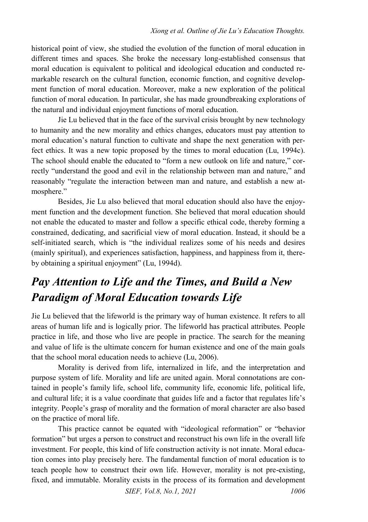historical point of view, she studied the evolution of the function of moral education in different times and spaces. She broke the necessary long-established consensus that moral education is equivalent to political and ideological education and conducted remarkable research on the cultural function, economic function, and cognitive development function of moral education. Moreover, make a new exploration of the political function of moral education. In particular, she has made groundbreaking explorations of the natural and individual enjoyment functions of moral education.

Jie Lu believed that in the face of the survival crisis brought by new technology to humanity and the new morality and ethics changes, educators must pay attention to moral education's natural function to cultivate and shape the next generation with perfect ethics. It was a new topic proposed by the times to moral education (Lu, 1994c). The school should enable the educated to "form a new outlook on life and nature," correctly "understand the good and evil in the relationship between man and nature," and reasonably "regulate the interaction between man and nature, and establish a new atmosphere."

Besides, Jie Lu also believed that moral education should also have the enjoyment function and the development function. She believed that moral education should not enable the educated to master and follow a specific ethical code, thereby forming a constrained, dedicating, and sacrificial view of moral education. Instead, it should be a self-initiated search, which is "the individual realizes some of his needs and desires (mainly spiritual), and experiences satisfaction, happiness, and happiness from it, thereby obtaining a spiritual enjoyment" (Lu, 1994d).

### *Pay Attention to Life and the Times, and Build a New Paradigm of Moral Education towards Life*

Jie Lu believed that the lifeworld is the primary way of human existence. It refers to all areas of human life and is logically prior. The lifeworld has practical attributes. People practice in life, and those who live are people in practice. The search for the meaning and value of life is the ultimate concern for human existence and one of the main goals that the school moral education needs to achieve (Lu, 2006).

Morality is derived from life, internalized in life, and the interpretation and purpose system of life. Morality and life are united again. Moral connotations are contained in people's family life, school life, community life, economic life, political life, and cultural life; it is a value coordinate that guides life and a factor that regulates life's integrity. People's grasp of morality and the formation of moral character are also based on the practice of moral life.

This practice cannot be equated with "ideological reformation" or "behavior formation" but urges a person to construct and reconstruct his own life in the overall life investment. For people, this kind of life construction activity is not innate. Moral education comes into play precisely here. The fundamental function of moral education is to teach people how to construct their own life. However, morality is not pre-existing, fixed, and immutable. Morality exists in the process of its formation and development

*SIEF, Vol.8, No.1, 2021* 1006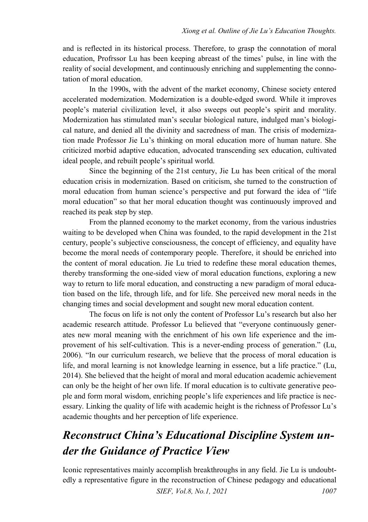and is reflected in its historical process. Therefore, to grasp the connotation of moral education, Profrssor Lu has been keeping abreast of the times' pulse, in line with the reality of social development, and continuously enriching and supplementing the connotation of moral education.

In the 1990s, with the advent of the market economy, Chinese society entered accelerated modernization. Modernization is a double-edged sword. While it improves people's material civilization level, it also sweeps out people's spirit and morality. Modernization has stimulated man's secular biological nature, indulged man's biological nature, and denied all the divinity and sacredness of man. The crisis of modernization made Professor Jie Lu's thinking on moral education more of human nature. She criticized morbid adaptive education, advocated transcending sex education, cultivated ideal people, and rebuilt people's spiritual world.

Since the beginning of the 21st century, Jie Lu has been critical of the moral education crisis in modernization. Based on criticism, she turned to the construction of moral education from human science's perspective and put forward the idea of "life moral education" so that her moral education thought was continuously improved and reached its peak step by step.

From the planned economy to the market economy, from the various industries waiting to be developed when China was founded, to the rapid development in the 21st century, people's subjective consciousness, the concept of efficiency, and equality have become the moral needs of contemporary people. Therefore, it should be enriched into the content of moral education. Jie Lu tried to redefine these moral education themes, thereby transforming the one-sided view of moral education functions, exploring a new way to return to life moral education, and constructing a new paradigm of moral education based on the life, through life, and for life. She perceived new moral needs in the changing times and social development and sought new moral education content.

The focus on life is not only the content of Professor Lu's research but also her academic research attitude. Professor Lu believed that "everyone continuously generates new moral meaning with the enrichment of his own life experience and the improvement of his self-cultivation. This is a never-ending process of generation." (Lu, 2006). "In our curriculum research, we believe that the process of moral education is life, and moral learning is not knowledge learning in essence, but a life practice." (Lu, 2014). She believed that the height of moral and moral education academic achievement can only be the height of her own life. If moral education is to cultivate generative people and form moral wisdom, enriching people's life experiences and life practice is necessary. Linking the quality of life with academic height is the richness of Professor Lu's academic thoughts and her perception of life experience.

### *Reconstruct China's Educational Discipline System under the Guidance of Practice View*

Iconic representatives mainly accomplish breakthroughs in any field. Jie Lu is undoubtedly a representative figure in the reconstruction of Chinese pedagogy and educational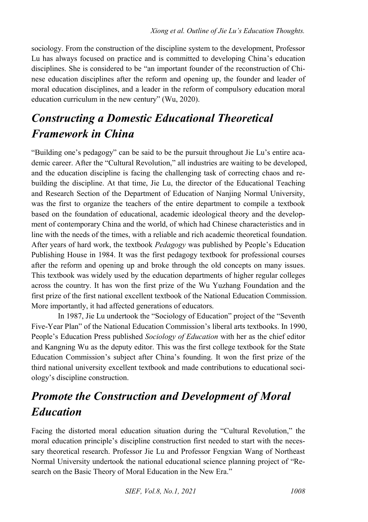sociology. From the construction of the discipline system to the development, Professor Lu has always focused on practice and is committed to developing China's education disciplines. She is considered to be "an important founder of the reconstruction of Chinese education disciplines after the reform and opening up, the founder and leader of moral education disciplines, and a leader in the reform of compulsory education moral education curriculum in the new century" (Wu, 2020).

## *Constructing a Domestic Educational Theoretical Framework in China*

"Building one's pedagogy" can be said to be the pursuit throughout Jie Lu's entire academic career. After the "Cultural Revolution," all industries are waiting to be developed, and the education discipline is facing the challenging task of correcting chaos and rebuilding the discipline. At that time, Jie Lu, the director of the Educational Teaching and Research Section of the Department of Education of Nanjing Normal University, was the first to organize the teachers of the entire department to compile a textbook based on the foundation of educational, academic ideological theory and the development of contemporary China and the world, of which had Chinese characteristics and in line with the needs of the times, with a reliable and rich academic theoretical foundation. After years of hard work, the textbook *Pedagogy* was published by People's Education Publishing House in 1984. It was the first pedagogy textbook for professional courses after the reform and opening up and broke through the old concepts on many issues. This textbook was widely used by the education departments of higher regular colleges across the country. It has won the first prize of the Wu Yuzhang Foundation and the first prize of the first national excellent textbook of the National Education Commission. More importantly, it had affected generations of educators.

In 1987, Jie Lu undertook the "Sociology of Education" project of the "Seventh Five-Year Plan" of the National Education Commission's liberal arts textbooks. In 1990, People's Education Press published *Sociology of Education* with her as the chief editor and Kangning Wu as the deputy editor. This was the first college textbook for the State Education Commission's subject after China's founding. It won the first prize of the third national university excellent textbook and made contributions to educational sociology's discipline construction.

# *Promote the Construction and Development of Moral Education*

Facing the distorted moral education situation during the "Cultural Revolution," the moral education principle's discipline construction first needed to start with the necessary theoretical research. Professor Jie Lu and Professor Fengxian Wang of Northeast Normal University undertook the national educational science planning project of "Research on the Basic Theory of Moral Education in the New Era."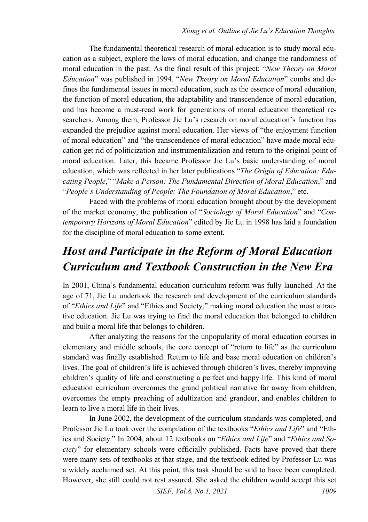The fundamental theoretical research of moral education is to study moral education as a subject, explore the laws of moral education, and change the randomness of moral education in the past. As the final result of this project: "*New Theory on Moral Education*" was published in 1994. "*New Theory on Moral Education*" combs and defines the fundamental issues in moral education, such as the essence of moral education, the function of moral education, the adaptability and transcendence of moral education, and has become a must-read work for generations of moral education theoretical researchers. Among them, Professor Jie Lu's research on moral education's function has expanded the prejudice against moral education. Her views of "the enjoyment function of moral education" and "the transcendence of moral education" have made moral education get rid of politicization and instrumentalization and return to the original point of moral education. Later, this became Professor Jie Lu's basic understanding of moral education, which was reflected in her later publications "*The Origin of Education: Educating People*," "*Make a Person: The Fundamental Direction of Moral Education*," and "*People's Understanding of People: The Foundation of Moral Education*," etc.

Faced with the problems of moral education brought about by the development of the market economy, the publication of "*Sociology of Moral Education*" and "*Contemporary Horizons of Moral Education*" edited by Jie Lu in 1998 has laid a foundation for the discipline of moral education to some extent.

# *Host and Participate in the Reform of Moral Education Curriculum and Textbook Construction in the New Era*

In 2001, China's fundamental education curriculum reform was fully launched. At the age of 71, Jie Lu undertook the research and development of the curriculum standards of "*Ethics and Life*" and "Ethics and Society," making moral education the most attractive education. Jie Lu was trying to find the moral education that belonged to children and built a moral life that belongs to children.

After analyzing the reasons for the unpopularity of moral education courses in elementary and middle schools, the core concept of "return to life" as the curriculum standard was finally established. Return to life and base moral education on children's lives. The goal of children's life is achieved through children's lives, thereby improving children's quality of life and constructing a perfect and happy life. This kind of moral education curriculum overcomes the grand political narrative far away from children, overcomes the empty preaching of adultization and grandeur, and enables children to learn to live a moral life in their lives.

In June 2002, the development of the curriculum standards was completed, and Professor Jie Lu took over the compilation of the textbooks "*Ethics and Life*" and "Ethics and Society." In 2004, about 12 textbooks on "*Ethics and Life*" and "*Ethics and Society*" for elementary schools were officially published. Facts have proved that there were many sets of textbooks at that stage, and the textbook edited by Professor Lu was a widely acclaimed set. At this point, this task should be said to have been completed. However, she still could not rest assured. She asked the children would accept this set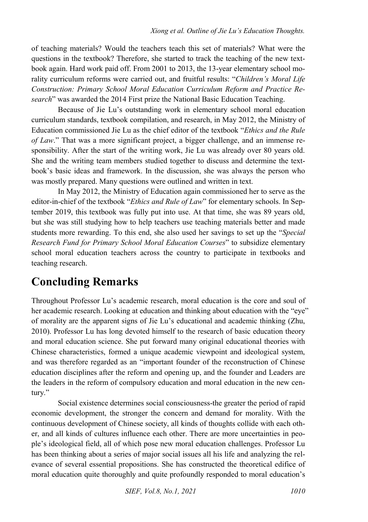of teaching materials? Would the teachers teach this set of materials? What were the questions in the textbook? Therefore, she started to track the teaching of the new textbook again. Hard work paid off. From 2001 to 2013, the 13-year elementary school morality curriculum reforms were carried out, and fruitful results: "*Children's Moral Life Construction: Primary School Moral Education Curriculum Reform and Practice Research*" was awarded the 2014 First prize the National Basic Education Teaching.

Because of Jie Lu's outstanding work in elementary school moral education curriculum standards, textbook compilation, and research, in May 2012, the Ministry of Education commissioned Jie Lu as the chief editor of the textbook "*Ethics and the Rule of Law*." That was a more significant project, a bigger challenge, and an immense responsibility. After the start of the writing work, Jie Lu was already over 80 years old. She and the writing team members studied together to discuss and determine the textbook's basic ideas and framework. In the discussion, she was always the person who was mostly prepared. Many questions were outlined and written in text.

In May 2012, the Ministry of Education again commissioned her to serve as the editor-in-chief of the textbook "*Ethics and Rule of Law*" for elementary schools. In September 2019, this textbook was fully put into use. At that time, she was 89 years old, but she was still studying how to help teachers use teaching materials better and made students more rewarding. To this end, she also used her savings to set up the "*Special Research Fund for Primary School Moral Education Courses*" to subsidize elementary school moral education teachers across the country to participate in textbooks and teaching research.

### **Concluding Remarks**

Throughout Professor Lu's academic research, moral education is the core and soul of her academic research. Looking at education and thinking about education with the "eye" of morality are the apparent signs of Jie Lu's educational and academic thinking (Zhu, 2010). Professor Lu has long devoted himself to the research of basic education theory and moral education science. She put forward many original educational theories with Chinese characteristics, formed a unique academic viewpoint and ideological system, and was therefore regarded as an "important founder of the reconstruction of Chinese education disciplines after the reform and opening up, and the founder and Leaders are the leaders in the reform of compulsory education and moral education in the new century."

Social existence determines social consciousness-the greater the period of rapid economic development, the stronger the concern and demand for morality. With the continuous development of Chinese society, all kinds of thoughts collide with each other, and all kinds of cultures influence each other. There are more uncertainties in people's ideological field, all of which pose new moral education challenges. Professor Lu has been thinking about a series of major social issues all his life and analyzing the relevance of several essential propositions. She has constructed the theoretical edifice of moral education quite thoroughly and quite profoundly responded to moral education's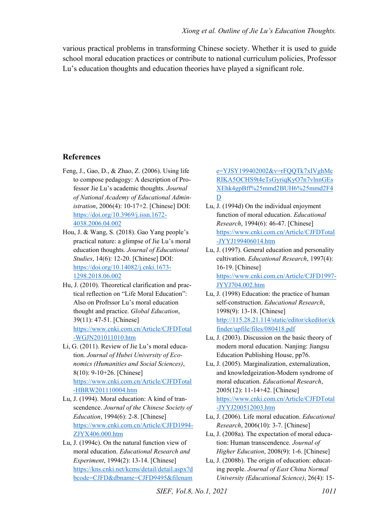various practical problems in transforming Chinese society. Whether it is used to guide school moral education practices or contribute to national curriculum policies, Professor Lu's education thoughts and education theories have played a significant role.

#### **References**

- Feng, J., Gao, D., & Zhao, Z. (2006). Using life to compose pedagogy: A description of Professor Jie Lu's academic thoughts. *Journal of National Academy of Educational Administration*, 2006(4): 10-17+2. [Chinese] DOI: [https://doi.org/10.3969/j.issn.1672-](https://doi.org/10.3969/j.issn.1672-4038.2006.04.002) [4038.2006.04.002](https://doi.org/10.3969/j.issn.1672-4038.2006.04.002)
- Hou, J. & Wang, S. (2018). Gao Yang people's practical nature: a glimpse of Jie Lu's moral education thoughts. *Journal of Educational Studies*, 14(6): 12-20. [Chinese] DOI: [https://doi.org/10.14082/j.cnki.1673-](https://doi.org/10.14082/j.cnki.1673-1298.2018.06.002) [1298.2018.06.002](https://doi.org/10.14082/j.cnki.1673-1298.2018.06.002)
- Hu, J. (2010). Theoretical clarification and practical reflection on "Life Moral Education": Also on Profrssor Lu's moral education thought and practice. *Global Education*, 39(11): 47-51. [Chinese] [https://www.cnki.com.cn/Article/CJFDTotal](https://www.cnki.com.cn/Article/CJFDTotal-WGJN201011010.htm) [-WGJN201011010.htm](https://www.cnki.com.cn/Article/CJFDTotal-WGJN201011010.htm)
- Li, G. (2011). Review of Jie Lu's moral education. *Journal of Hubei University of Economics (Humanities and Social Sciences)*, 8(10): 9-10+26. [Chinese] [https://www.cnki.com.cn/Article/CJFDTotal](https://www.cnki.com.cn/Article/CJFDTotal-HBRW201110004.htm) [-HBRW201110004.htm](https://www.cnki.com.cn/Article/CJFDTotal-HBRW201110004.htm)
- Lu, J. (1994). Moral education: A kind of transcendence. *Journal of the Chinese Society of Education*, 1994(6): 2-8. [Chinese] [https://www.cnki.com.cn/Article/CJFD1994-](https://www.cnki.com.cn/Article/CJFD1994-ZJYX406.000.htm) [ZJYX406.000.htm](https://www.cnki.com.cn/Article/CJFD1994-ZJYX406.000.htm)
- Lu, J. (1994c). On the natural function view of moral education. *Educational Research and Experiment*, 1994(2): 13-14. [Chinese] [https://kns.cnki.net/kcms/detail/detail.aspx?d](https://kns.cnki.net/kcms/detail/detail.aspx?dbcode=CJFD&dbname=CJFD9495&filename=YJSY199402002&v=rFQQTk7xIVghMcRIKA5OCHS9t4eTsGyriqKyO7n7vlnnGEsXEhk4gpBff%25mmd2BUH6%25mmd2F4D) [bcode=CJFD&dbname=CJFD9495&filenam](https://kns.cnki.net/kcms/detail/detail.aspx?dbcode=CJFD&dbname=CJFD9495&filename=YJSY199402002&v=rFQQTk7xIVghMcRIKA5OCHS9t4eTsGyriqKyO7n7vlnnGEsXEhk4gpBff%25mmd2BUH6%25mmd2F4D)

[e=YJSY199402002&v=rFQQTk7xIVghMc](https://kns.cnki.net/kcms/detail/detail.aspx?dbcode=CJFD&dbname=CJFD9495&filename=YJSY199402002&v=rFQQTk7xIVghMcRIKA5OCHS9t4eTsGyriqKyO7n7vlnnGEsXEhk4gpBff%25mmd2BUH6%25mmd2F4D) [RIKA5OCHS9t4eTsGyriqKyO7n7vlnnGEs](https://kns.cnki.net/kcms/detail/detail.aspx?dbcode=CJFD&dbname=CJFD9495&filename=YJSY199402002&v=rFQQTk7xIVghMcRIKA5OCHS9t4eTsGyriqKyO7n7vlnnGEsXEhk4gpBff%25mmd2BUH6%25mmd2F4D) [XEhk4gpBff%25mmd2BUH6%25mmd2F4](https://kns.cnki.net/kcms/detail/detail.aspx?dbcode=CJFD&dbname=CJFD9495&filename=YJSY199402002&v=rFQQTk7xIVghMcRIKA5OCHS9t4eTsGyriqKyO7n7vlnnGEsXEhk4gpBff%25mmd2BUH6%25mmd2F4D) [D](https://kns.cnki.net/kcms/detail/detail.aspx?dbcode=CJFD&dbname=CJFD9495&filename=YJSY199402002&v=rFQQTk7xIVghMcRIKA5OCHS9t4eTsGyriqKyO7n7vlnnGEsXEhk4gpBff%25mmd2BUH6%25mmd2F4D) 

- Lu, J. (1994d) On the individual enjoyment function of moral education. *Educational Research*, 1994(6): 46-47. [Chinese] [https://www.cnki.com.cn/Article/CJFDTotal](https://www.cnki.com.cn/Article/CJFDTotal-JYYJ199406014.htm) [-JYYJ199406014.htm](https://www.cnki.com.cn/Article/CJFDTotal-JYYJ199406014.htm)
- Lu, J. (1997). General education and personality cultivation. *Educational Research*, 1997(4): 16-19. [Chinese] [https://www.cnki.com.cn/Article/CJFD1997-](https://www.cnki.com.cn/Article/CJFD1997-JYYJ704.002.htm) [JYYJ704.002.htm](https://www.cnki.com.cn/Article/CJFD1997-JYYJ704.002.htm)
- Lu, J. (1998) Education: the practice of human self-construction. *Educational Research*, 1998(9): 13-18. [Chinese] [http://115.28.21.114/static/editor/ckeditor/ck](http://115.28.21.114/static/editor/ckeditor/ckfinder/upfile/files/080418.pdf) [finder/upfile/files/080418.pdf](http://115.28.21.114/static/editor/ckeditor/ckfinder/upfile/files/080418.pdf)
- Lu, J. (2003). Discussion on the basic theory of modern moral education. Nanjing: Jiangsu Education Publishing House, pp76.
- Lu, J. (2005). Marginalization, externalization, and knowledgeization-Modern syndrome of moral education. *Educational Research*, 2005(12): 11-14+42. [Chinese] [https://www.cnki.com.cn/Article/CJFDTotal](https://www.cnki.com.cn/Article/CJFDTotal-JYYJ200512003.htm) [-JYYJ200512003.htm](https://www.cnki.com.cn/Article/CJFDTotal-JYYJ200512003.htm)
- Lu, J. (2006). Life moral education. *Educational Research*, 2006(10): 3-7. [Chinese]
- Lu, J. (2008a). The expectation of moral education: Human transcendence. *Journal of Higher Education*, 2008(9): 1-6. [Chinese]
- Lu, J. (2008b). The origin of education: educating people. *Journal of East China Normal University (Educational Science)*, 26(4): 15-